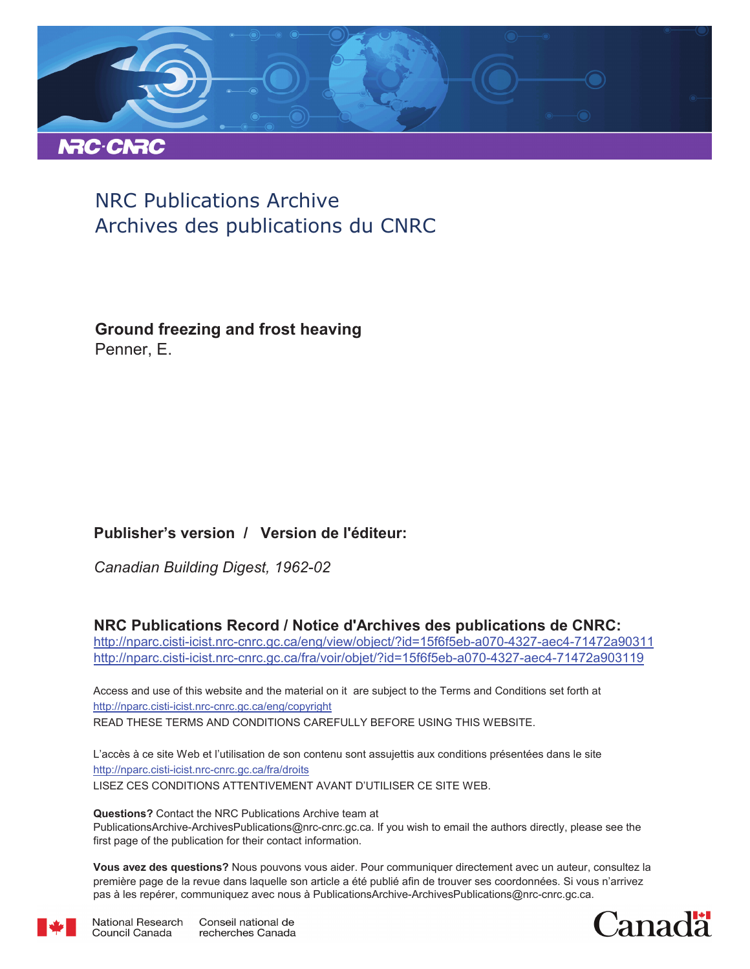

# NRC Publications Archive Archives des publications du CNRC

**Ground freezing and frost heaving** Penner, E.

## **Publisher's version / Version de l'éditeur:**

*Canadian Building Digest, 1962-02*

## **NRC Publications Record / Notice d'Archives des publications de CNRC:**

http://nparc.cisti-icist.nrc-cnrc.gc.ca/eng/view/object/?id=15f6f5eb-a070-4327-aec4-71472a90311 http://nparc.cisti-icist.nrc-cnrc.gc.ca/fra/voir/objet/?id=15f6f5eb-a070-4327-aec4-71472a903119

READ THESE TERMS AND CONDITIONS CAREFULLY BEFORE USING THIS WEBSITE. http://nparc.cisti-icist.nrc-cnrc.gc.ca/eng/copyright Access and use of this website and the material on it are subject to the Terms and Conditions set forth at

http://nparc.cisti-icist.nrc-cnrc.gc.ca/fra/droits L'accès à ce site Web et l'utilisation de son contenu sont assujettis aux conditions présentées dans le site LISEZ CES CONDITIONS ATTENTIVEMENT AVANT D'UTILISER CE SITE WEB.

**Questions?** Contact the NRC Publications Archive team at PublicationsArchive-ArchivesPublications@nrc-cnrc.gc.ca. If you wish to email the authors directly, please see the first page of the publication for their contact information.

**Vous avez des questions?** Nous pouvons vous aider. Pour communiquer directement avec un auteur, consultez la première page de la revue dans laquelle son article a été publié afin de trouver ses coordonnées. Si vous n'arrivez pas à les repérer, communiquez avec nous à PublicationsArchive-ArchivesPublications@nrc-cnrc.gc.ca.



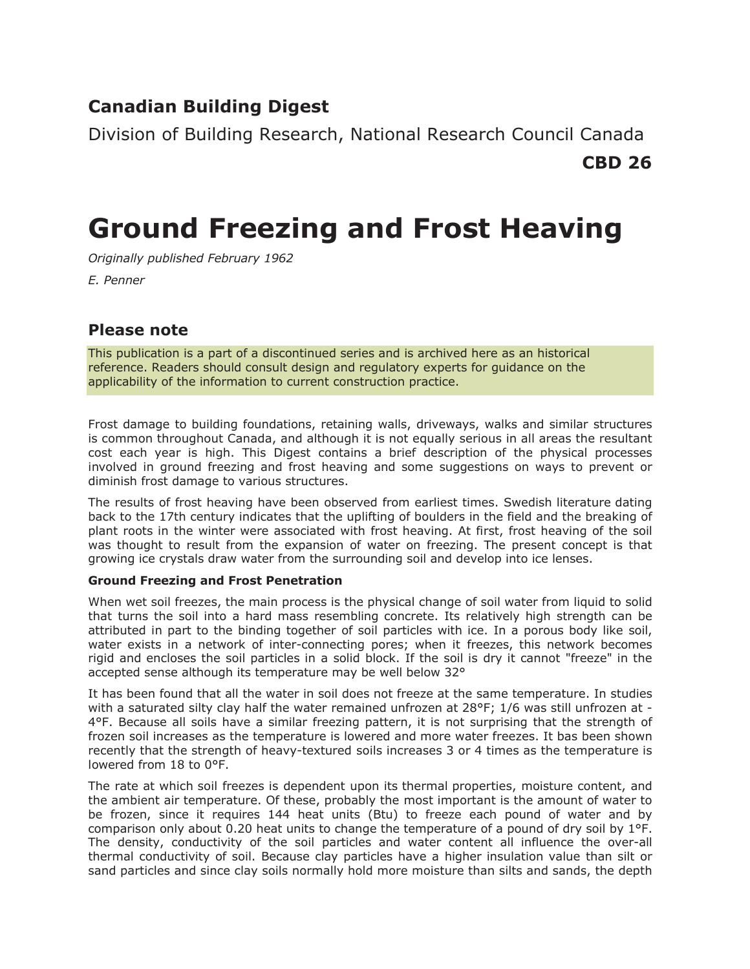## **Canadian Building Digest**

Division of Building Research, National Research Council Canada

**CBD 26**

# **Ground Freezing and Frost Heaving**

*Originally published February 1962*

*E. Penner*

## **Please note**

This publication is a part of a discontinued series and is archived here as an historical reference. Readers should consult design and regulatory experts for guidance on the applicability of the information to current construction practice.

Frost damage to building foundations, retaining walls, driveways, walks and similar structures is common throughout Canada, and although it is not equally serious in all areas the resultant cost each year is high. This Digest contains a brief description of the physical processes involved in ground freezing and frost heaving and some suggestions on ways to prevent or diminish frost damage to various structures.

The results of frost heaving have been observed from earliest times. Swedish literature dating back to the 17th century indicates that the uplifting of boulders in the field and the breaking of plant roots in the winter were associated with frost heaving. At first, frost heaving of the soil was thought to result from the expansion of water on freezing. The present concept is that growing ice crystals draw water from the surrounding soil and develop into ice lenses.

## **Ground Freezing and Frost Penetration**

When wet soil freezes, the main process is the physical change of soil water from liquid to solid that turns the soil into a hard mass resembling concrete. Its relatively high strength can be attributed in part to the binding together of soil particles with ice. In a porous body like soil, water exists in a network of inter-connecting pores; when it freezes, this network becomes rigid and encloses the soil particles in a solid block. If the soil is dry it cannot "freeze" in the accepted sense although its temperature may be well below 32°

It has been found that all the water in soil does not freeze at the same temperature. In studies with a saturated silty clay half the water remained unfrozen at 28°F; 1/6 was still unfrozen at -4°F. Because all soils have a similar freezing pattern, it is not surprising that the strength of frozen soil increases as the temperature is lowered and more water freezes. It bas been shown recently that the strength of heavy-textured soils increases 3 or 4 times as the temperature is lowered from 18 to 0°F.

The rate at which soil freezes is dependent upon its thermal properties, moisture content, and the ambient air temperature. Of these, probably the most important is the amount of water to be frozen, since it requires 144 heat units (Btu) to freeze each pound of water and by comparison only about 0.20 heat units to change the temperature of a pound of dry soil by 1°F. The density, conductivity of the soil particles and water content all influence the over-all thermal conductivity of soil. Because clay particles have a higher insulation value than silt or sand particles and since clay soils normally hold more moisture than silts and sands, the depth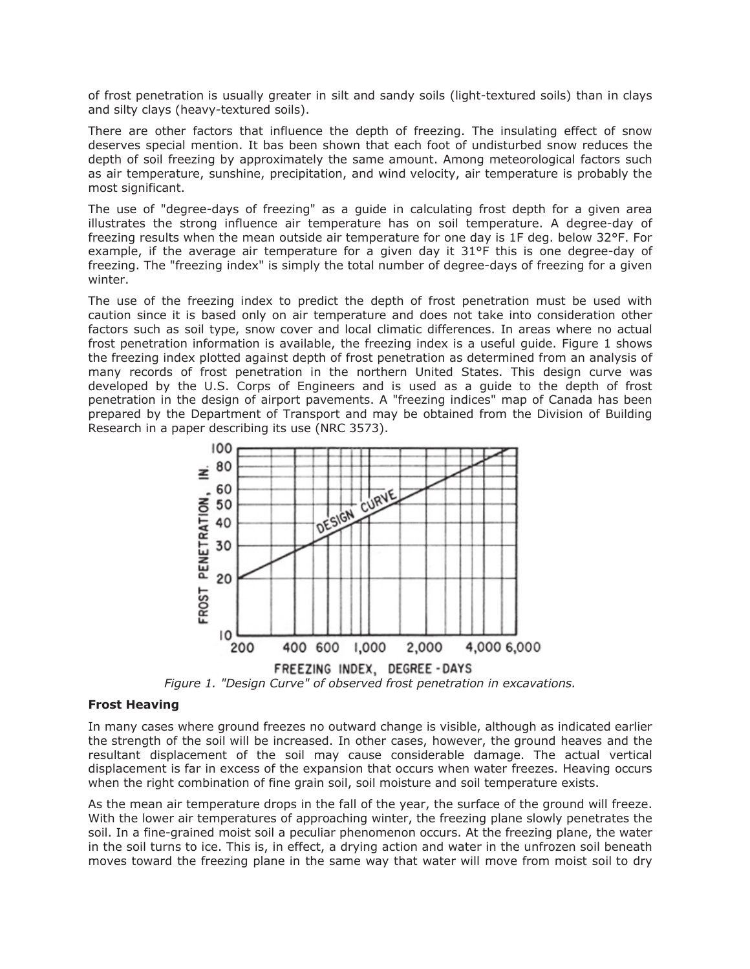of frost penetration is usually greater in silt and sandy soils (light-textured soils) than in clays and silty clays (heavy-textured soils).

There are other factors that influence the depth of freezing. The insulating effect of snow deserves special mention. It bas been shown that each foot of undisturbed snow reduces the depth of soil freezing by approximately the same amount. Among meteorological factors such as air temperature, sunshine, precipitation, and wind velocity, air temperature is probably the most significant.

The use of "degree-days of freezing" as a guide in calculating frost depth for a given area illustrates the strong influence air temperature has on soil temperature. A degree-day of freezing results when the mean outside air temperature for one day is 1F deg. below 32°F. For example, if the average air temperature for a given day it 31°F this is one degree-day of freezing. The "freezing index" is simply the total number of degree-days of freezing for a given winter.

The use of the freezing index to predict the depth of frost penetration must be used with caution since it is based only on air temperature and does not take into consideration other factors such as soil type, snow cover and local climatic differences. In areas where no actual frost penetration information is available, the freezing index is a useful guide. Figure 1 shows the freezing index plotted against depth of frost penetration as determined from an analysis of many records of frost penetration in the northern United States. This design curve was developed by the U.S. Corps of Engineers and is used as a guide to the depth of frost penetration in the design of airport pavements. A "freezing indices" map of Canada has been prepared by the Department of Transport and may be obtained from the Division of Building Research in a paper describing its use (NRC 3573).



*Figure 1. "Design Curve" of observed frost penetration in excavations.*

#### **Frost Heaving**

In many cases where ground freezes no outward change is visible, although as indicated earlier the strength of the soil will be increased. In other cases, however, the ground heaves and the resultant displacement of the soil may cause considerable damage. The actual vertical displacement is far in excess of the expansion that occurs when water freezes. Heaving occurs when the right combination of fine grain soil, soil moisture and soil temperature exists.

As the mean air temperature drops in the fall of the year, the surface of the ground will freeze. With the lower air temperatures of approaching winter, the freezing plane slowly penetrates the soil. In a fine-grained moist soil a peculiar phenomenon occurs. At the freezing plane, the water in the soil turns to ice. This is, in effect, a drying action and water in the unfrozen soil beneath moves toward the freezing plane in the same way that water will move from moist soil to dry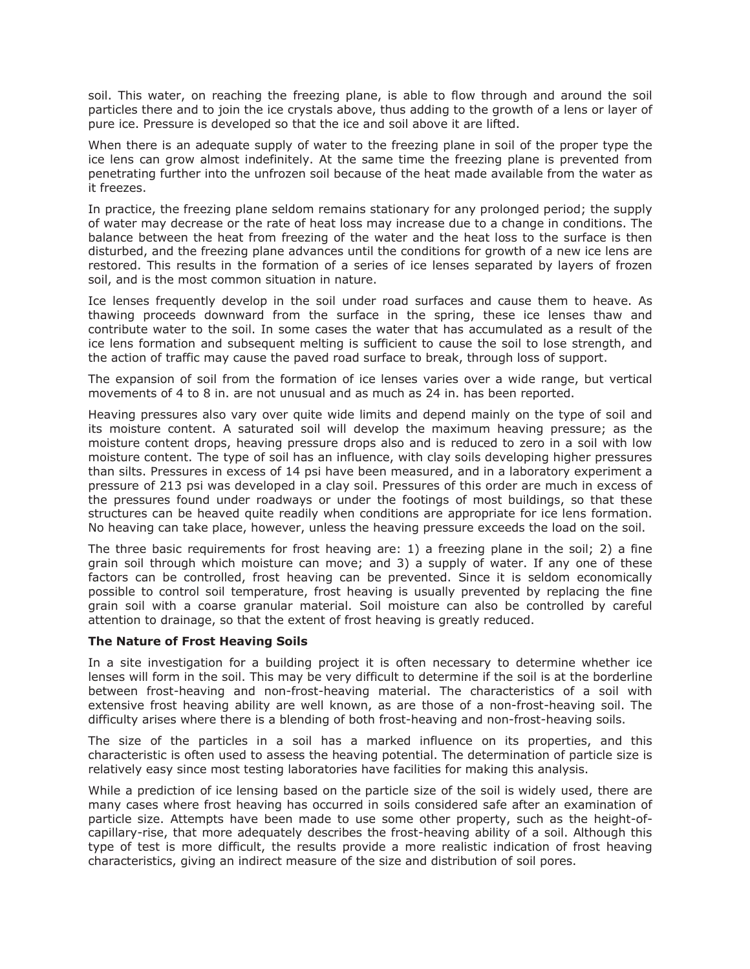soil. This water, on reaching the freezing plane, is able to flow through and around the soil particles there and to join the ice crystals above, thus adding to the growth of a lens or layer of pure ice. Pressure is developed so that the ice and soil above it are lifted.

When there is an adequate supply of water to the freezing plane in soil of the proper type the ice lens can grow almost indefinitely. At the same time the freezing plane is prevented from penetrating further into the unfrozen soil because of the heat made available from the water as it freezes.

In practice, the freezing plane seldom remains stationary for any prolonged period; the supply of water may decrease or the rate of heat loss may increase due to a change in conditions. The balance between the heat from freezing of the water and the heat loss to the surface is then disturbed, and the freezing plane advances until the conditions for growth of a new ice lens are restored. This results in the formation of a series of ice lenses separated by layers of frozen soil, and is the most common situation in nature.

Ice lenses frequently develop in the soil under road surfaces and cause them to heave. As thawing proceeds downward from the surface in the spring, these ice lenses thaw and contribute water to the soil. In some cases the water that has accumulated as a result of the ice lens formation and subsequent melting is sufficient to cause the soil to lose strength, and the action of traffic may cause the paved road surface to break, through loss of support.

The expansion of soil from the formation of ice lenses varies over a wide range, but vertical movements of 4 to 8 in. are not unusual and as much as 24 in. has been reported.

Heaving pressures also vary over quite wide limits and depend mainly on the type of soil and its moisture content. A saturated soil will develop the maximum heaving pressure; as the moisture content drops, heaving pressure drops also and is reduced to zero in a soil with low moisture content. The type of soil has an influence, with clay soils developing higher pressures than silts. Pressures in excess of 14 psi have been measured, and in a laboratory experiment a pressure of 213 psi was developed in a clay soil. Pressures of this order are much in excess of the pressures found under roadways or under the footings of most buildings, so that these structures can be heaved quite readily when conditions are appropriate for ice lens formation. No heaving can take place, however, unless the heaving pressure exceeds the load on the soil.

The three basic requirements for frost heaving are: 1) a freezing plane in the soil; 2) a fine grain soil through which moisture can move; and 3) a supply of water. If any one of these factors can be controlled, frost heaving can be prevented. Since it is seldom economically possible to control soil temperature, frost heaving is usually prevented by replacing the fine grain soil with a coarse granular material. Soil moisture can also be controlled by careful attention to drainage, so that the extent of frost heaving is greatly reduced.

#### **The Nature of Frost Heaving Soils**

In a site investigation for a building project it is often necessary to determine whether ice lenses will form in the soil. This may be very difficult to determine if the soil is at the borderline between frost-heaving and non-frost-heaving material. The characteristics of a soil with extensive frost heaving ability are well known, as are those of a non-frost-heaving soil. The difficulty arises where there is a blending of both frost-heaving and non-frost-heaving soils.

The size of the particles in a soil has a marked influence on its properties, and this characteristic is often used to assess the heaving potential. The determination of particle size is relatively easy since most testing laboratories have facilities for making this analysis.

While a prediction of ice lensing based on the particle size of the soil is widely used, there are many cases where frost heaving has occurred in soils considered safe after an examination of particle size. Attempts have been made to use some other property, such as the height-ofcapillary-rise, that more adequately describes the frost-heaving ability of a soil. Although this type of test is more difficult, the results provide a more realistic indication of frost heaving characteristics, giving an indirect measure of the size and distribution of soil pores.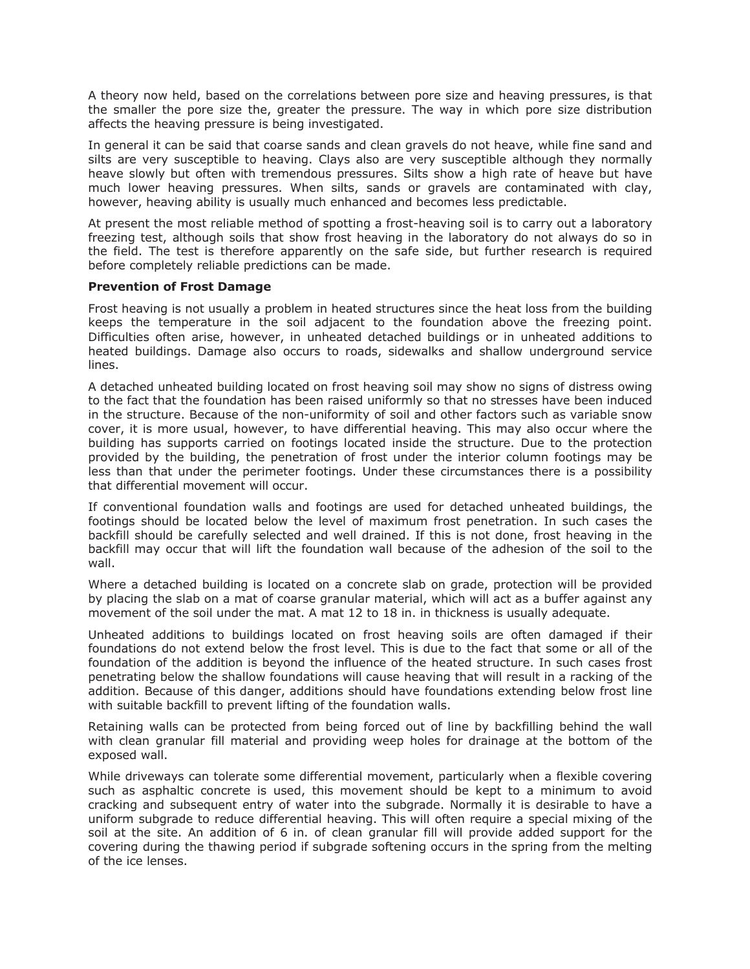A theory now held, based on the correlations between pore size and heaving pressures, is that the smaller the pore size the, greater the pressure. The way in which pore size distribution affects the heaving pressure is being investigated.

In general it can be said that coarse sands and clean gravels do not heave, while fine sand and silts are very susceptible to heaving. Clays also are very susceptible although they normally heave slowly but often with tremendous pressures. Silts show a high rate of heave but have much lower heaving pressures. When silts, sands or gravels are contaminated with clay, however, heaving ability is usually much enhanced and becomes less predictable.

At present the most reliable method of spotting a frost-heaving soil is to carry out a laboratory freezing test, although soils that show frost heaving in the laboratory do not always do so in the field. The test is therefore apparently on the safe side, but further research is required before completely reliable predictions can be made.

### **Prevention of Frost Damage**

Frost heaving is not usually a problem in heated structures since the heat loss from the building keeps the temperature in the soil adjacent to the foundation above the freezing point. Difficulties often arise, however, in unheated detached buildings or in unheated additions to heated buildings. Damage also occurs to roads, sidewalks and shallow underground service lines.

A detached unheated building located on frost heaving soil may show no signs of distress owing to the fact that the foundation has been raised uniformly so that no stresses have been induced in the structure. Because of the non-uniformity of soil and other factors such as variable snow cover, it is more usual, however, to have differential heaving. This may also occur where the building has supports carried on footings located inside the structure. Due to the protection provided by the building, the penetration of frost under the interior column footings may be less than that under the perimeter footings. Under these circumstances there is a possibility that differential movement will occur.

If conventional foundation walls and footings are used for detached unheated buildings, the footings should be located below the level of maximum frost penetration. In such cases the backfill should be carefully selected and well drained. If this is not done, frost heaving in the backfill may occur that will lift the foundation wall because of the adhesion of the soil to the wall.

Where a detached building is located on a concrete slab on grade, protection will be provided by placing the slab on a mat of coarse granular material, which will act as a buffer against any movement of the soil under the mat. A mat 12 to 18 in. in thickness is usually adequate.

Unheated additions to buildings located on frost heaving soils are often damaged if their foundations do not extend below the frost level. This is due to the fact that some or all of the foundation of the addition is beyond the influence of the heated structure. In such cases frost penetrating below the shallow foundations will cause heaving that will result in a racking of the addition. Because of this danger, additions should have foundations extending below frost line with suitable backfill to prevent lifting of the foundation walls.

Retaining walls can be protected from being forced out of line by backfilling behind the wall with clean granular fill material and providing weep holes for drainage at the bottom of the exposed wall.

While driveways can tolerate some differential movement, particularly when a flexible covering such as asphaltic concrete is used, this movement should be kept to a minimum to avoid cracking and subsequent entry of water into the subgrade. Normally it is desirable to have a uniform subgrade to reduce differential heaving. This will often require a special mixing of the soil at the site. An addition of 6 in. of clean granular fill will provide added support for the covering during the thawing period if subgrade softening occurs in the spring from the melting of the ice lenses.